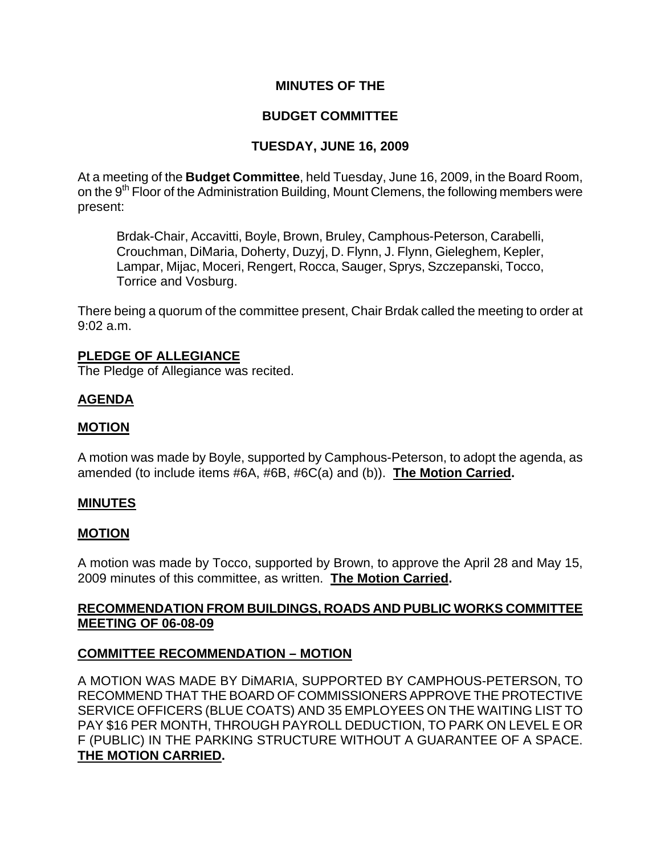# **MINUTES OF THE**

# **BUDGET COMMITTEE**

# **TUESDAY, JUNE 16, 2009**

At a meeting of the **Budget Committee**, held Tuesday, June 16, 2009, in the Board Room, on the 9<sup>th</sup> Floor of the Administration Building, Mount Clemens, the following members were present:

Brdak-Chair, Accavitti, Boyle, Brown, Bruley, Camphous-Peterson, Carabelli, Crouchman, DiMaria, Doherty, Duzyj, D. Flynn, J. Flynn, Gieleghem, Kepler, Lampar, Mijac, Moceri, Rengert, Rocca, Sauger, Sprys, Szczepanski, Tocco, Torrice and Vosburg.

There being a quorum of the committee present, Chair Brdak called the meeting to order at 9:02 a.m.

#### **PLEDGE OF ALLEGIANCE**

The Pledge of Allegiance was recited.

### **AGENDA**

#### **MOTION**

A motion was made by Boyle, supported by Camphous-Peterson, to adopt the agenda, as amended (to include items #6A, #6B, #6C(a) and (b)). **The Motion Carried.** 

#### **MINUTES**

#### **MOTION**

A motion was made by Tocco, supported by Brown, to approve the April 28 and May 15, 2009 minutes of this committee, as written. **The Motion Carried.** 

### **RECOMMENDATION FROM BUILDINGS, ROADS AND PUBLIC WORKS COMMITTEE MEETING OF 06-08-09**

### **COMMITTEE RECOMMENDATION – MOTION**

A MOTION WAS MADE BY DiMARIA, SUPPORTED BY CAMPHOUS-PETERSON, TO RECOMMEND THAT THE BOARD OF COMMISSIONERS APPROVE THE PROTECTIVE SERVICE OFFICERS (BLUE COATS) AND 35 EMPLOYEES ON THE WAITING LIST TO PAY \$16 PER MONTH, THROUGH PAYROLL DEDUCTION, TO PARK ON LEVEL E OR F (PUBLIC) IN THE PARKING STRUCTURE WITHOUT A GUARANTEE OF A SPACE. **THE MOTION CARRIED.**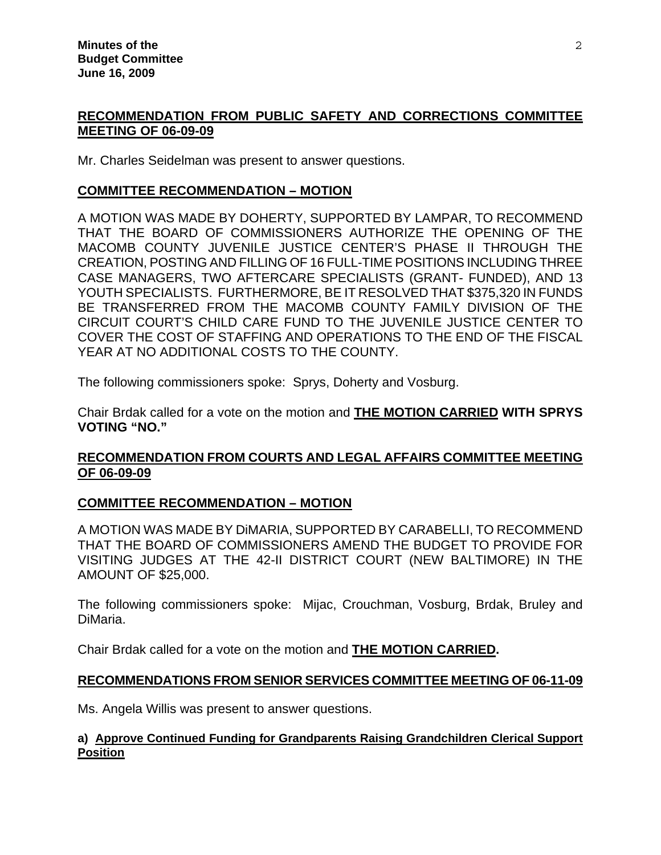# **RECOMMENDATION FROM PUBLIC SAFETY AND CORRECTIONS COMMITTEE MEETING OF 06-09-09**

Mr. Charles Seidelman was present to answer questions.

#### **COMMITTEE RECOMMENDATION – MOTION**

A MOTION WAS MADE BY DOHERTY, SUPPORTED BY LAMPAR, TO RECOMMEND THAT THE BOARD OF COMMISSIONERS AUTHORIZE THE OPENING OF THE MACOMB COUNTY JUVENILE JUSTICE CENTER'S PHASE II THROUGH THE CREATION, POSTING AND FILLING OF 16 FULL-TIME POSITIONS INCLUDING THREE CASE MANAGERS, TWO AFTERCARE SPECIALISTS (GRANT- FUNDED), AND 13 YOUTH SPECIALISTS. FURTHERMORE, BE IT RESOLVED THAT \$375,320 IN FUNDS BE TRANSFERRED FROM THE MACOMB COUNTY FAMILY DIVISION OF THE CIRCUIT COURT'S CHILD CARE FUND TO THE JUVENILE JUSTICE CENTER TO COVER THE COST OF STAFFING AND OPERATIONS TO THE END OF THE FISCAL YEAR AT NO ADDITIONAL COSTS TO THE COUNTY.

The following commissioners spoke: Sprys, Doherty and Vosburg.

Chair Brdak called for a vote on the motion and **THE MOTION CARRIED WITH SPRYS VOTING "NO."**

# **RECOMMENDATION FROM COURTS AND LEGAL AFFAIRS COMMITTEE MEETING OF 06-09-09**

### **COMMITTEE RECOMMENDATION – MOTION**

A MOTION WAS MADE BY DiMARIA, SUPPORTED BY CARABELLI, TO RECOMMEND THAT THE BOARD OF COMMISSIONERS AMEND THE BUDGET TO PROVIDE FOR VISITING JUDGES AT THE 42-II DISTRICT COURT (NEW BALTIMORE) IN THE AMOUNT OF \$25,000.

The following commissioners spoke: Mijac, Crouchman, Vosburg, Brdak, Bruley and DiMaria.

Chair Brdak called for a vote on the motion and **THE MOTION CARRIED.** 

### **RECOMMENDATIONS FROM SENIOR SERVICES COMMITTEE MEETING OF 06-11-09**

Ms. Angela Willis was present to answer questions.

#### **a) Approve Continued Funding for Grandparents Raising Grandchildren Clerical Support Position**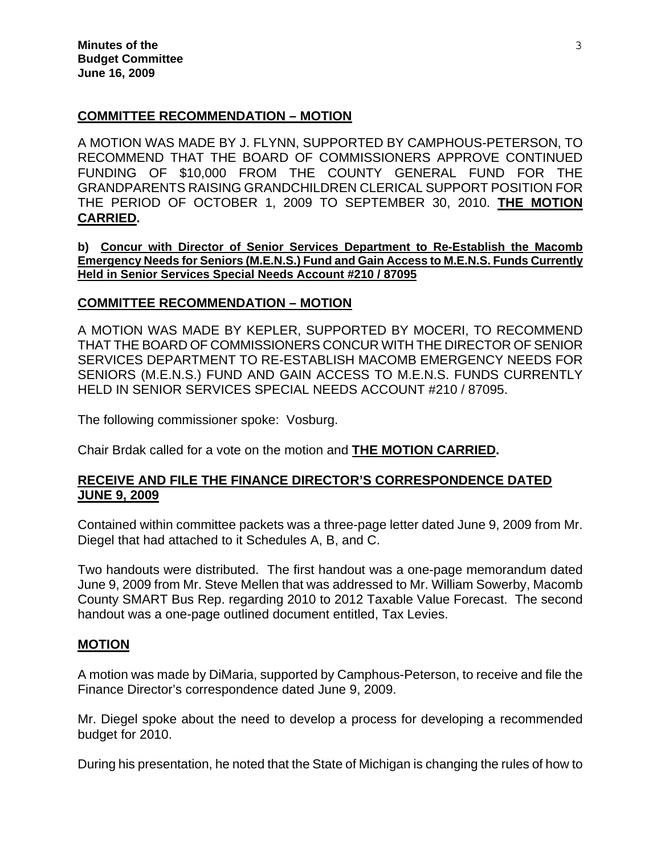#### **COMMITTEE RECOMMENDATION – MOTION**

A MOTION WAS MADE BY J. FLYNN, SUPPORTED BY CAMPHOUS-PETERSON, TO RECOMMEND THAT THE BOARD OF COMMISSIONERS APPROVE CONTINUED FUNDING OF \$10,000 FROM THE COUNTY GENERAL FUND FOR THE GRANDPARENTS RAISING GRANDCHILDREN CLERICAL SUPPORT POSITION FOR THE PERIOD OF OCTOBER 1, 2009 TO SEPTEMBER 30, 2010. **THE MOTION CARRIED.** 

**b) Concur with Director of Senior Services Department to Re-Establish the Macomb Emergency Needs for Seniors (M.E.N.S.) Fund and Gain Access to M.E.N.S. Funds Currently Held in Senior Services Special Needs Account #210 / 87095**

#### **COMMITTEE RECOMMENDATION – MOTION**

A MOTION WAS MADE BY KEPLER, SUPPORTED BY MOCERI, TO RECOMMEND THAT THE BOARD OF COMMISSIONERS CONCUR WITH THE DIRECTOR OF SENIOR SERVICES DEPARTMENT TO RE-ESTABLISH MACOMB EMERGENCY NEEDS FOR SENIORS (M.E.N.S.) FUND AND GAIN ACCESS TO M.E.N.S. FUNDS CURRENTLY HELD IN SENIOR SERVICES SPECIAL NEEDS ACCOUNT #210 / 87095.

The following commissioner spoke: Vosburg.

Chair Brdak called for a vote on the motion and **THE MOTION CARRIED.** 

### **RECEIVE AND FILE THE FINANCE DIRECTOR'S CORRESPONDENCE DATED JUNE 9, 2009**

Contained within committee packets was a three-page letter dated June 9, 2009 from Mr. Diegel that had attached to it Schedules A, B, and C.

Two handouts were distributed. The first handout was a one-page memorandum dated June 9, 2009 from Mr. Steve Mellen that was addressed to Mr. William Sowerby, Macomb County SMART Bus Rep. regarding 2010 to 2012 Taxable Value Forecast. The second handout was a one-page outlined document entitled, Tax Levies.

#### **MOTION**

A motion was made by DiMaria, supported by Camphous-Peterson, to receive and file the Finance Director's correspondence dated June 9, 2009.

Mr. Diegel spoke about the need to develop a process for developing a recommended budget for 2010.

During his presentation, he noted that the State of Michigan is changing the rules of how to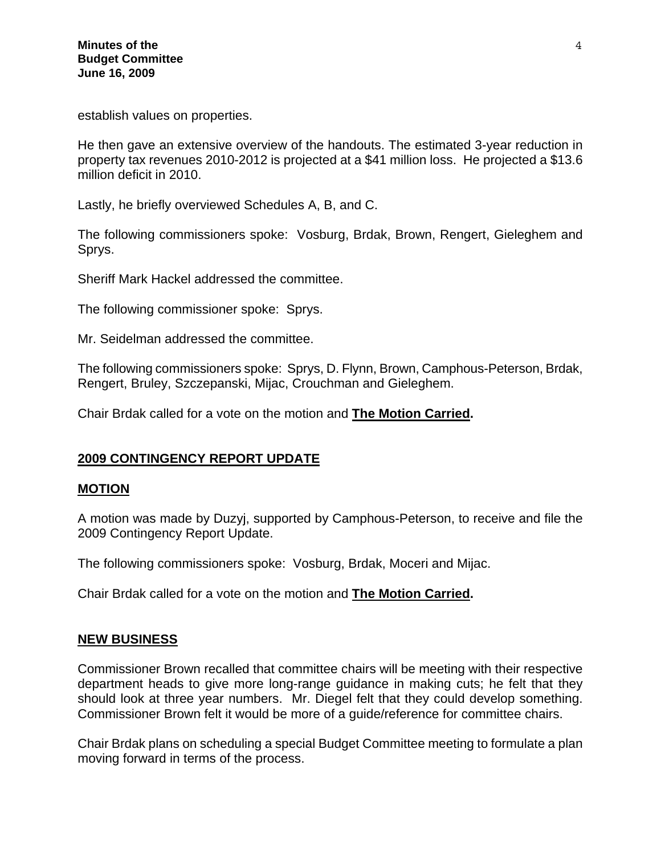establish values on properties.

He then gave an extensive overview of the handouts. The estimated 3-year reduction in property tax revenues 2010-2012 is projected at a \$41 million loss. He projected a \$13.6 million deficit in 2010.

Lastly, he briefly overviewed Schedules A, B, and C.

The following commissioners spoke: Vosburg, Brdak, Brown, Rengert, Gieleghem and Sprys.

Sheriff Mark Hackel addressed the committee.

The following commissioner spoke: Sprys.

Mr. Seidelman addressed the committee.

The following commissioners spoke: Sprys, D. Flynn, Brown, Camphous-Peterson, Brdak, Rengert, Bruley, Szczepanski, Mijac, Crouchman and Gieleghem.

Chair Brdak called for a vote on the motion and **The Motion Carried.** 

### **2009 CONTINGENCY REPORT UPDATE**

#### **MOTION**

A motion was made by Duzyj, supported by Camphous-Peterson, to receive and file the 2009 Contingency Report Update.

The following commissioners spoke: Vosburg, Brdak, Moceri and Mijac.

Chair Brdak called for a vote on the motion and **The Motion Carried.** 

#### **NEW BUSINESS**

Commissioner Brown recalled that committee chairs will be meeting with their respective department heads to give more long-range guidance in making cuts; he felt that they should look at three year numbers. Mr. Diegel felt that they could develop something. Commissioner Brown felt it would be more of a guide/reference for committee chairs.

Chair Brdak plans on scheduling a special Budget Committee meeting to formulate a plan moving forward in terms of the process.